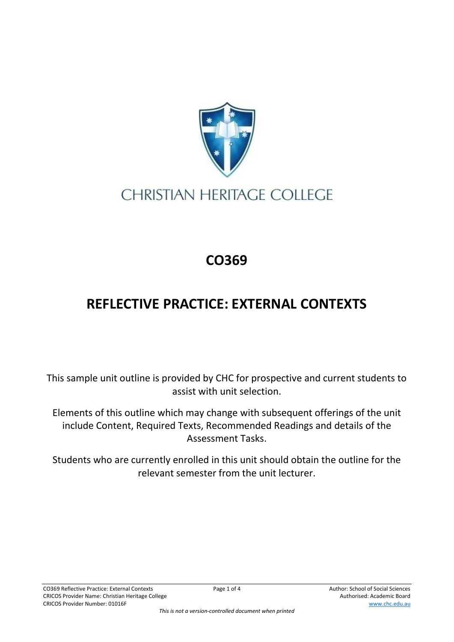

## **CHRISTIAN HERITAGE COLLEGE**

## **CO369**

## **REFLECTIVE PRACTICE: EXTERNAL CONTEXTS**

This sample unit outline is provided by CHC for prospective and current students to assist with unit selection.

Elements of this outline which may change with subsequent offerings of the unit include Content, Required Texts, Recommended Readings and details of the Assessment Tasks.

Students who are currently enrolled in this unit should obtain the outline for the relevant semester from the unit lecturer.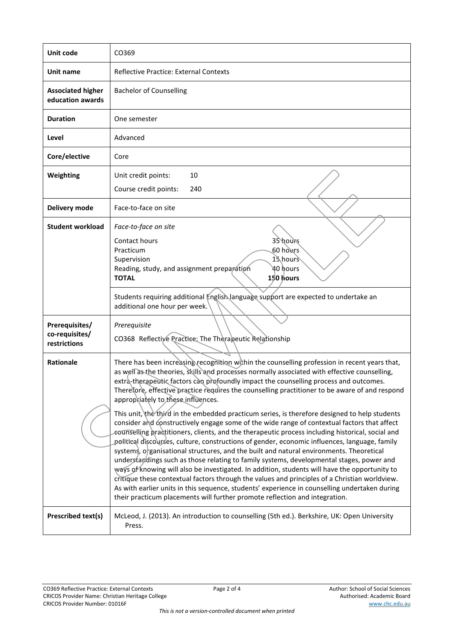| Unit code                                        | CO369                                                                                                                                                                                                                                                                                                                                                                                                                                                                                                                                                                                                                                                                                                                                                                                                                                                                                                                                                                                                                                                                                                                                                                                                                                                                                                                                                                                                         |  |  |
|--------------------------------------------------|---------------------------------------------------------------------------------------------------------------------------------------------------------------------------------------------------------------------------------------------------------------------------------------------------------------------------------------------------------------------------------------------------------------------------------------------------------------------------------------------------------------------------------------------------------------------------------------------------------------------------------------------------------------------------------------------------------------------------------------------------------------------------------------------------------------------------------------------------------------------------------------------------------------------------------------------------------------------------------------------------------------------------------------------------------------------------------------------------------------------------------------------------------------------------------------------------------------------------------------------------------------------------------------------------------------------------------------------------------------------------------------------------------------|--|--|
| Unit name                                        | Reflective Practice: External Contexts                                                                                                                                                                                                                                                                                                                                                                                                                                                                                                                                                                                                                                                                                                                                                                                                                                                                                                                                                                                                                                                                                                                                                                                                                                                                                                                                                                        |  |  |
| <b>Associated higher</b><br>education awards     | <b>Bachelor of Counselling</b>                                                                                                                                                                                                                                                                                                                                                                                                                                                                                                                                                                                                                                                                                                                                                                                                                                                                                                                                                                                                                                                                                                                                                                                                                                                                                                                                                                                |  |  |
| <b>Duration</b>                                  | One semester                                                                                                                                                                                                                                                                                                                                                                                                                                                                                                                                                                                                                                                                                                                                                                                                                                                                                                                                                                                                                                                                                                                                                                                                                                                                                                                                                                                                  |  |  |
| Level                                            | Advanced                                                                                                                                                                                                                                                                                                                                                                                                                                                                                                                                                                                                                                                                                                                                                                                                                                                                                                                                                                                                                                                                                                                                                                                                                                                                                                                                                                                                      |  |  |
| Core/elective                                    | Core                                                                                                                                                                                                                                                                                                                                                                                                                                                                                                                                                                                                                                                                                                                                                                                                                                                                                                                                                                                                                                                                                                                                                                                                                                                                                                                                                                                                          |  |  |
| Weighting                                        | 10<br>Unit credit points:<br>Course credit points:<br>240                                                                                                                                                                                                                                                                                                                                                                                                                                                                                                                                                                                                                                                                                                                                                                                                                                                                                                                                                                                                                                                                                                                                                                                                                                                                                                                                                     |  |  |
| Delivery mode                                    | Face-to-face on site                                                                                                                                                                                                                                                                                                                                                                                                                                                                                                                                                                                                                                                                                                                                                                                                                                                                                                                                                                                                                                                                                                                                                                                                                                                                                                                                                                                          |  |  |
| <b>Student workload</b>                          | Face-to-face on site<br>35 hours<br>Contact hours<br>60 hours<br>Practicum<br>15 hours<br>Supervision<br>ነ hours<br>Reading, study, and assignment preparation<br>150 hours<br><b>TOTAL</b>                                                                                                                                                                                                                                                                                                                                                                                                                                                                                                                                                                                                                                                                                                                                                                                                                                                                                                                                                                                                                                                                                                                                                                                                                   |  |  |
|                                                  | Students requiring additional English language support are expected to undertake an<br>additional one hour per week.                                                                                                                                                                                                                                                                                                                                                                                                                                                                                                                                                                                                                                                                                                                                                                                                                                                                                                                                                                                                                                                                                                                                                                                                                                                                                          |  |  |
| Prerequisites/<br>co-requisites/<br>restrictions | Prerequisite<br>CO368 Reflective Practice: The Therapeutic Relationship                                                                                                                                                                                                                                                                                                                                                                                                                                                                                                                                                                                                                                                                                                                                                                                                                                                                                                                                                                                                                                                                                                                                                                                                                                                                                                                                       |  |  |
| <b>Rationale</b>                                 | There has been increasing recognition within the counselling profession in recent years that,<br>as well as the theories, skills and processes normally associated with effective counselling,<br>extra-therapeutic factors can profoundly impact the counselling process and outcomes.<br>Therefore, effective practice requires the counselling practitioner to be aware of and respond<br>appropriately to these influences.<br>This unit, the third in the embedded practicum series, is therefore designed to help students<br>consider and constructively engage some of the wide range of contextual factors that affect<br>counselling practitioners, clients, and the therapeutic process including historical, social and<br>political discourses, culture, constructions of gender, economic influences, language, family<br>systems, organisational structures, and the built and natural environments. Theoretical<br>understandings such as those relating to family systems, developmental stages, power and<br>ways of knowing will also be investigated. In addition, students will have the opportunity to<br>critique these contextual factors through the values and principles of a Christian worldview.<br>As with earlier units in this sequence, students' experience in counselling undertaken during<br>their practicum placements will further promote reflection and integration. |  |  |
| Prescribed text(s)                               | McLeod, J. (2013). An introduction to counselling (5th ed.). Berkshire, UK: Open University<br>Press.                                                                                                                                                                                                                                                                                                                                                                                                                                                                                                                                                                                                                                                                                                                                                                                                                                                                                                                                                                                                                                                                                                                                                                                                                                                                                                         |  |  |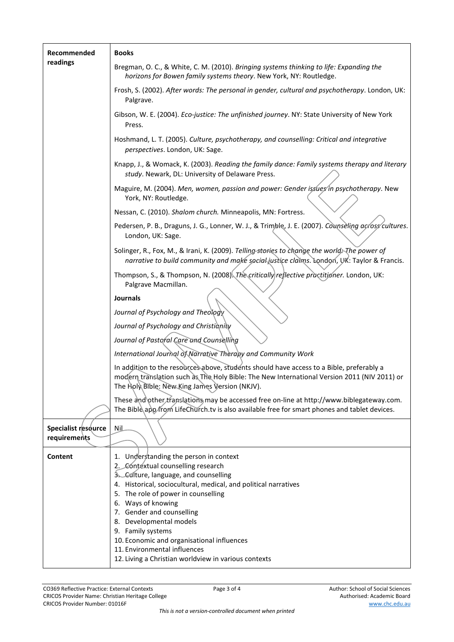| Recommended<br>readings             | <b>Books</b>                                                                                                                                                                                                                              |  |
|-------------------------------------|-------------------------------------------------------------------------------------------------------------------------------------------------------------------------------------------------------------------------------------------|--|
|                                     | Bregman, O. C., & White, C. M. (2010). Bringing systems thinking to life: Expanding the<br>horizons for Bowen family systems theory. New York, NY: Routledge.                                                                             |  |
|                                     | Frosh, S. (2002). After words: The personal in gender, cultural and psychotherapy. London, UK:<br>Palgrave.                                                                                                                               |  |
|                                     | Gibson, W. E. (2004). Eco-justice: The unfinished journey. NY: State University of New York<br>Press.                                                                                                                                     |  |
|                                     | Hoshmand, L. T. (2005). Culture, psychotherapy, and counselling: Critical and integrative<br>perspectives. London, UK: Sage.                                                                                                              |  |
|                                     | Knapp, J., & Womack, K. (2003). Reading the family dance: Family systems therapy and literary<br>study. Newark, DL: University of Delaware Press.                                                                                         |  |
|                                     | Maguire, M. (2004). Men, women, passion and power: Gender issues in psychotherapy. New<br>York, NY: Routledge.                                                                                                                            |  |
|                                     | Nessan, C. (2010). Shalom church. Minneapolis, MN: Fortress.                                                                                                                                                                              |  |
|                                     | Pedersen, P. B., Draguns, J. G., Lonner, W. J., & Trimble, J. E. (2007). Counseling across cultures.<br>London, UK: Sage.                                                                                                                 |  |
|                                     | Solinger, R., Fox, M., & Irani, K. (2009). Telling-stories to change the world; The power of<br>narrative to build community and make social justice claims. London, UK: Taylor & Francis.                                                |  |
|                                     | Thompson, S., & Thompson, N. (2008). The critically reflective practitioner. London, UK:<br>Palgrave Macmillan.                                                                                                                           |  |
|                                     | <b>Journals</b>                                                                                                                                                                                                                           |  |
|                                     | Journal of Psychology and Theology                                                                                                                                                                                                        |  |
|                                     | Journal of Psychology and Christianity                                                                                                                                                                                                    |  |
|                                     | Journal of Pastoral Care and Counselling                                                                                                                                                                                                  |  |
|                                     | International Journal of Narrative Therapy and Community Work                                                                                                                                                                             |  |
|                                     | In addition to the resources above, students should have access to a Bible, preferably a<br>modern translation such as The Holy Bible: The New International Version 2011 (NIV 2011) or<br>The Holy Bible: New King James Version (NKJV). |  |
|                                     | These and other translations may be accessed free on-line at http://www.biblegateway.com.<br>The Bible app/from LifeChurch.tv is also available free for smart phones and tablet devices.                                                 |  |
| Specialist resource<br>requirements | <b>Nil</b>                                                                                                                                                                                                                                |  |
| <b>Content</b>                      | 1. Understanding the person in context                                                                                                                                                                                                    |  |
|                                     | 2. Contextual counselling research                                                                                                                                                                                                        |  |
|                                     | 3. Culture, language, and counselling                                                                                                                                                                                                     |  |
|                                     | 4. Historical, sociocultural, medical, and political narratives<br>5. The role of power in counselling                                                                                                                                    |  |
|                                     | 6. Ways of knowing                                                                                                                                                                                                                        |  |
|                                     | 7. Gender and counselling                                                                                                                                                                                                                 |  |
|                                     | 8. Developmental models<br>9. Family systems                                                                                                                                                                                              |  |
|                                     | 10. Economic and organisational influences                                                                                                                                                                                                |  |
|                                     | 11. Environmental influences                                                                                                                                                                                                              |  |
|                                     | 12. Living a Christian worldview in various contexts                                                                                                                                                                                      |  |